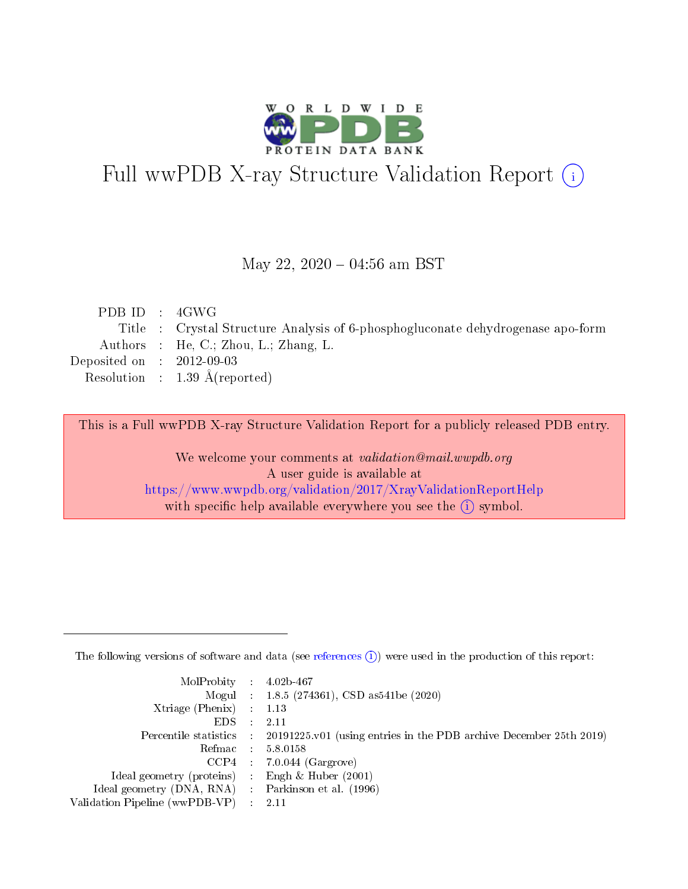

# Full wwPDB X-ray Structure Validation Report (i)

#### May 22,  $2020 - 04:56$  am BST

| PDBID : 4GWG                |                                                                                 |
|-----------------------------|---------------------------------------------------------------------------------|
|                             | Title : Crystal Structure Analysis of 6-phosphogluconate dehydrogenase apo-form |
|                             | Authors : He, C.; Zhou, L.; Zhang, L.                                           |
| Deposited on : $2012-09-03$ |                                                                                 |
|                             | Resolution : $1.39 \text{ Å}$ (reported)                                        |
|                             |                                                                                 |

This is a Full wwPDB X-ray Structure Validation Report for a publicly released PDB entry.

We welcome your comments at validation@mail.wwpdb.org A user guide is available at <https://www.wwpdb.org/validation/2017/XrayValidationReportHelp> with specific help available everywhere you see the  $(i)$  symbol.

The following versions of software and data (see [references](https://www.wwpdb.org/validation/2017/XrayValidationReportHelp#references)  $(1)$ ) were used in the production of this report:

| $MolProbability$ : 4.02b-467                        |                                                                                              |
|-----------------------------------------------------|----------------------------------------------------------------------------------------------|
|                                                     | Mogul : 1.8.5 (274361), CSD as 541 be (2020)                                                 |
| Xtriage (Phenix) $: 1.13$                           |                                                                                              |
| $EDS$ :                                             | -2.11                                                                                        |
|                                                     | Percentile statistics : $20191225.v01$ (using entries in the PDB archive December 25th 2019) |
| Refmac : 5.8.0158                                   |                                                                                              |
|                                                     | $CCP4$ : 7.0.044 (Gargrove)                                                                  |
| Ideal geometry (proteins) :                         | Engh $\&$ Huber (2001)                                                                       |
| Ideal geometry (DNA, RNA) : Parkinson et al. (1996) |                                                                                              |
| Validation Pipeline (wwPDB-VP) : 2.11               |                                                                                              |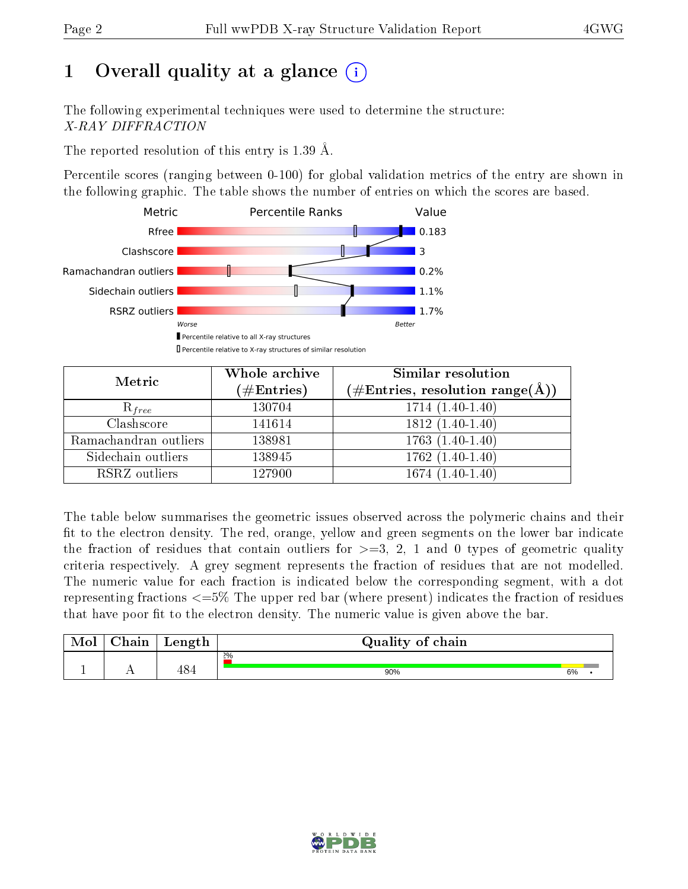# 1 [O](https://www.wwpdb.org/validation/2017/XrayValidationReportHelp#overall_quality)verall quality at a glance  $(i)$

The following experimental techniques were used to determine the structure: X-RAY DIFFRACTION

The reported resolution of this entry is 1.39 Å.

Percentile scores (ranging between 0-100) for global validation metrics of the entry are shown in the following graphic. The table shows the number of entries on which the scores are based.



| Metric                | Whole archive<br>$(\#\text{Entries})$ | Similar resolution<br>(#Entries, resolution range( $\AA$ )) |
|-----------------------|---------------------------------------|-------------------------------------------------------------|
| $R_{free}$            | 130704                                | $1714(1.40-1.40)$                                           |
| Clashscore            | 141614                                | $1812(1.40-1.40)$                                           |
| Ramachandran outliers | 138981                                | $1763(1.40-1.40)$                                           |
| Sidechain outliers    | 138945                                | $1762(1.40-1.40)$                                           |
| RSRZ outliers         | 127900                                | $1674(1.40-1.40)$                                           |

The table below summarises the geometric issues observed across the polymeric chains and their fit to the electron density. The red, orange, yellow and green segments on the lower bar indicate the fraction of residues that contain outliers for  $>=3, 2, 1$  and 0 types of geometric quality criteria respectively. A grey segment represents the fraction of residues that are not modelled. The numeric value for each fraction is indicated below the corresponding segment, with a dot representing fractions  $\epsilon=5\%$  The upper red bar (where present) indicates the fraction of residues that have poor fit to the electron density. The numeric value is given above the bar.

| Mol | $\cap$ hain | Length | Quality of chain |    |  |
|-----|-------------|--------|------------------|----|--|
|     |             |        | $2\%$            |    |  |
|     |             | 484    | 90%              | 6% |  |

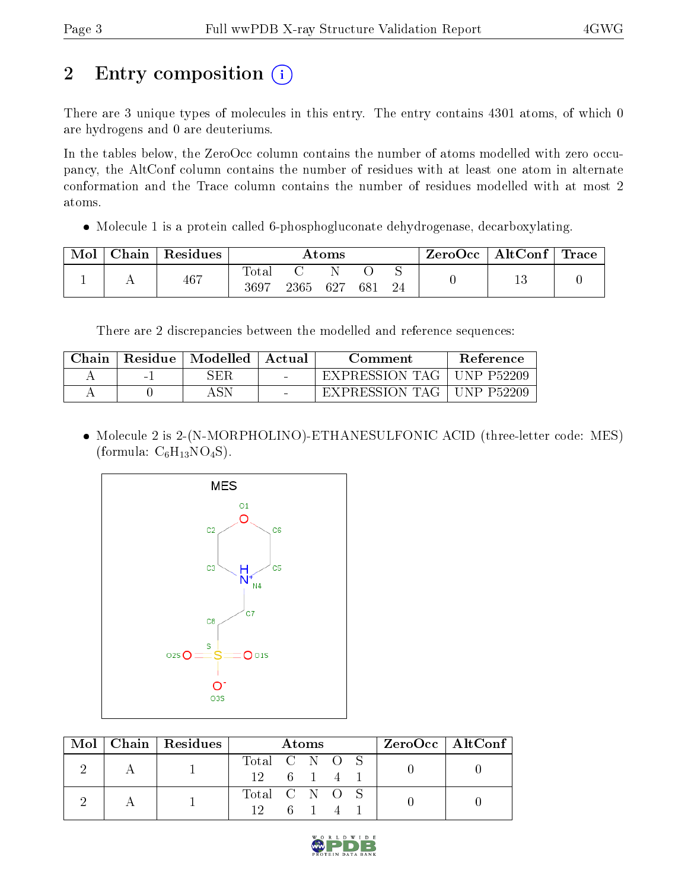# 2 Entry composition (i)

There are 3 unique types of molecules in this entry. The entry contains 4301 atoms, of which 0 are hydrogens and 0 are deuteriums.

In the tables below, the ZeroOcc column contains the number of atoms modelled with zero occupancy, the AltConf column contains the number of residues with at least one atom in alternate conformation and the Trace column contains the number of residues modelled with at most 2 atoms.

• Molecule 1 is a protein called 6-phosphogluconate dehydrogenase, decarboxylating.

| Mol | $\perp$ Chain $\perp$ | Residues | $\rm{Atoms}$        |      |     |     | $\mid$ ZeroOcc $\mid$ AltConf $\mid$ Trace $\mid$ |  |  |
|-----|-----------------------|----------|---------------------|------|-----|-----|---------------------------------------------------|--|--|
|     |                       | 467      | $\rm Total$<br>3697 | 2365 | 627 | 681 | 24                                                |  |  |

There are 2 discrepancies between the modelled and reference sequences:

| Chain | Residue | Modelled | - Actual - | Comment          | Reference    |
|-------|---------|----------|------------|------------------|--------------|
|       | $\sim$  | SER      | $\sim$     | EXPRESSION TAG   | UNP P52209   |
|       |         |          | $\sim$     | EXPRESSION TAG 1 | ' UNP P52209 |

 Molecule 2 is 2-(N-MORPHOLINO)-ETHANESULFONIC ACID (three-letter code: MES) (formula:  $C_6H_{13}NO_4S$ ).



|  |  | $Mol$   Chain   Residues | Atoms         |    |  | $ZeroOcc \mid AltConf \mid$ |  |  |
|--|--|--------------------------|---------------|----|--|-----------------------------|--|--|
|  |  |                          | Total C N O S |    |  |                             |  |  |
|  |  | $12 \t 6 \t 1$           |               |    |  |                             |  |  |
|  |  |                          | Total C N O S |    |  |                             |  |  |
|  |  |                          | $12 -$        | 61 |  |                             |  |  |

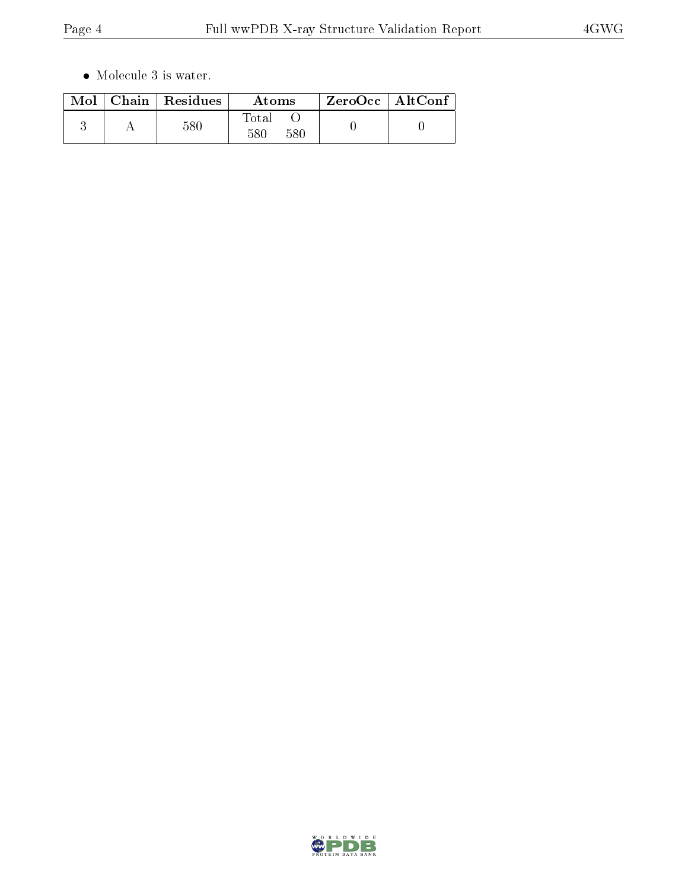$\bullet\,$  Molecule 3 is water.

|  | $Mol$   Chain   Residues | Atoms               | ZeroOcc   AltConf |
|--|--------------------------|---------------------|-------------------|
|  | 580                      | Total<br>580<br>580 |                   |

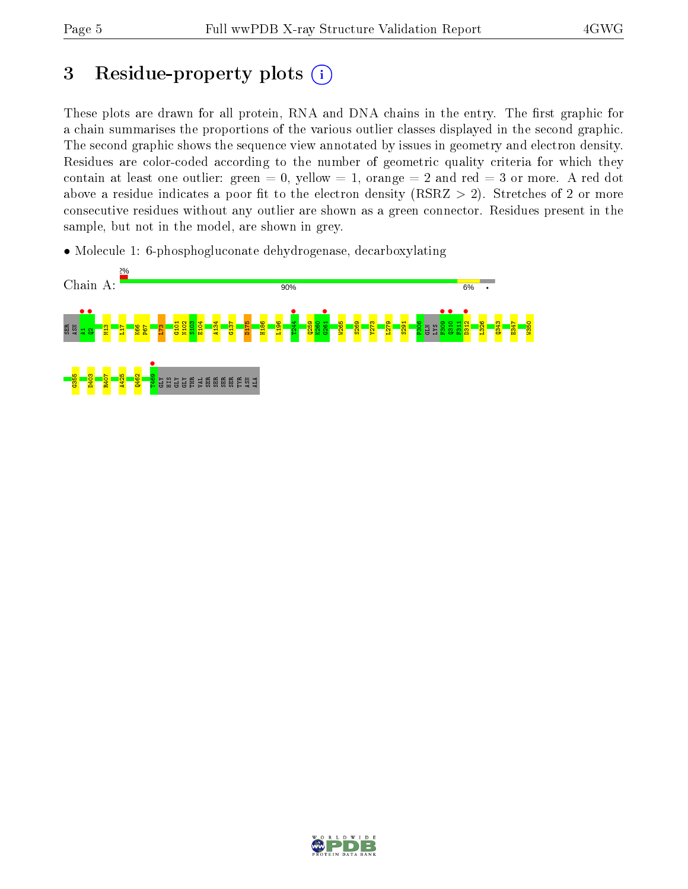# 3 Residue-property plots  $(i)$

These plots are drawn for all protein, RNA and DNA chains in the entry. The first graphic for a chain summarises the proportions of the various outlier classes displayed in the second graphic. The second graphic shows the sequence view annotated by issues in geometry and electron density. Residues are color-coded according to the number of geometric quality criteria for which they contain at least one outlier: green  $= 0$ , yellow  $= 1$ , orange  $= 2$  and red  $= 3$  or more. A red dot above a residue indicates a poor fit to the electron density (RSRZ  $> 2$ ). Stretches of 2 or more consecutive residues without any outlier are shown as a green connector. Residues present in the sample, but not in the model, are shown in grey.

• Molecule 1: 6-phosphogluconate dehydrogenase, decarboxylating



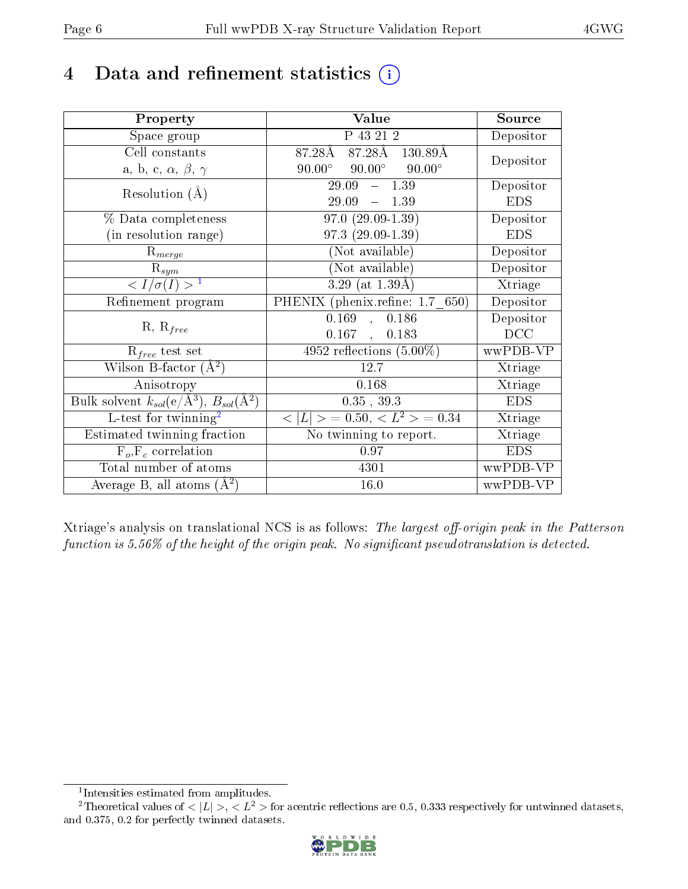## 4 Data and refinement statistics  $(i)$

| Property                                                             | <b>Value</b>                                     | Source                       |
|----------------------------------------------------------------------|--------------------------------------------------|------------------------------|
| Space group                                                          | P 43 21 2                                        | Depositor                    |
| Cell constants                                                       | 87.28Å 87.28Å 130.89Å                            | Depositor                    |
| a, b, c, $\alpha$ , $\beta$ , $\gamma$                               | $90.00^{\circ}$ $90.00^{\circ}$<br>$90.00^\circ$ |                              |
| Resolution $(A)$                                                     | $-1.39$<br>29.09                                 | Depositor                    |
|                                                                      | $29.09 - 1.39$                                   | <b>EDS</b>                   |
| % Data completeness                                                  | $97.0(29.09-1.39)$                               | Depositor                    |
| (in resolution range)                                                | 97.3 (29.09-1.39)                                | <b>EDS</b>                   |
| $R_{merge}$                                                          | (Not available)                                  | Depositor                    |
| $\mathrm{R}_{sym}$                                                   | (Not available)                                  | Depositor                    |
| $\frac{1}{\sigma(I)}$                                                | $\overline{3.29}$ (at $1.39\text{\AA})$          | $\overline{\text{X}}$ triage |
| Refinement program                                                   | PHENIX (phenix.refine: 1.7 650)                  | Depositor                    |
| $R, R_{free}$                                                        | 0.169<br>, 0.186                                 | Depositor                    |
|                                                                      | $0.167$ , $0.183$                                | DCC                          |
| $R_{free}$ test set                                                  | 4952 reflections $(5.00\%)$                      | wwPDB-VP                     |
| Wilson B-factor $(A^2)$                                              | 12.7                                             | Xtriage                      |
| Anisotropy                                                           | 0.168                                            | Xtriage                      |
| Bulk solvent $k_{sol}(e/\mathring{A}^3)$ , $B_{sol}(\mathring{A}^2)$ | $0.35$ , $39.3$                                  | <b>EDS</b>                   |
| L-test for $\text{twinning}^2$                                       | $< L >$ = 0.50, $< L2$ > = 0.34                  | Xtriage                      |
| Estimated twinning fraction                                          | No twinning to report.                           | Xtriage                      |
| $F_o, F_c$ correlation                                               | 0.97                                             | <b>EDS</b>                   |
| Total number of atoms                                                | 4301                                             | wwPDB-VP                     |
| Average B, all atoms $(A^2)$                                         | 16.0                                             | wwPDB-VP                     |

Xtriage's analysis on translational NCS is as follows: The largest off-origin peak in the Patterson function is  $5.56\%$  of the height of the origin peak. No significant pseudotranslation is detected.

<sup>&</sup>lt;sup>2</sup>Theoretical values of  $\langle |L| \rangle$ ,  $\langle L^2 \rangle$  for acentric reflections are 0.5, 0.333 respectively for untwinned datasets, and 0.375, 0.2 for perfectly twinned datasets.



<span id="page-5-1"></span><span id="page-5-0"></span><sup>1</sup> Intensities estimated from amplitudes.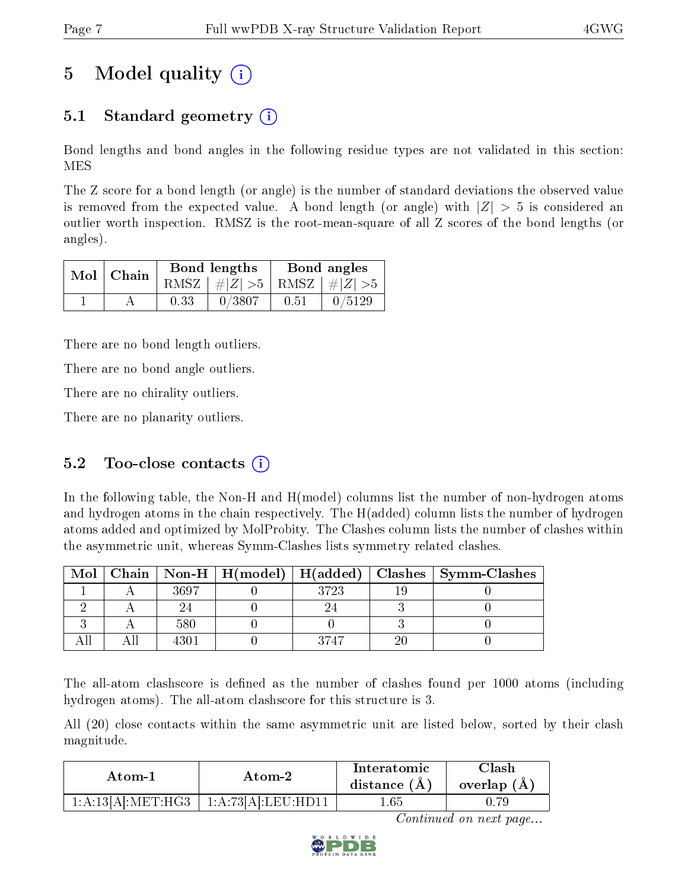# 5 Model quality  $(i)$

### 5.1 Standard geometry (i)

Bond lengths and bond angles in the following residue types are not validated in this section: MES

The Z score for a bond length (or angle) is the number of standard deviations the observed value is removed from the expected value. A bond length (or angle) with  $|Z| > 5$  is considered an outlier worth inspection. RMSZ is the root-mean-square of all Z scores of the bond lengths (or angles).

| $Mol$   Chain |      | Bond lengths                    | Bond angles |        |  |
|---------------|------|---------------------------------|-------------|--------|--|
|               |      | RMSZ $ #Z  > 5$ RMSZ $ #Z  > 5$ |             |        |  |
|               | 0.33 | 0/3807                          | 0.51        | 0/5129 |  |

There are no bond length outliers.

There are no bond angle outliers.

There are no chirality outliers.

There are no planarity outliers.

### 5.2 Too-close contacts  $(i)$

In the following table, the Non-H and H(model) columns list the number of non-hydrogen atoms and hydrogen atoms in the chain respectively. The H(added) column lists the number of hydrogen atoms added and optimized by MolProbity. The Clashes column lists the number of clashes within the asymmetric unit, whereas Symm-Clashes lists symmetry related clashes.

| Mol |      |      | Chain   Non-H   H(model)   H(added)   Clashes   Symm-Clashes |
|-----|------|------|--------------------------------------------------------------|
|     | 3697 | 3793 |                                                              |
|     |      |      |                                                              |
|     | 580  |      |                                                              |
|     |      | 3747 |                                                              |

The all-atom clashscore is defined as the number of clashes found per 1000 atoms (including hydrogen atoms). The all-atom clashscore for this structure is 3.

All (20) close contacts within the same asymmetric unit are listed below, sorted by their clash magnitude.

| Atom-1            | Atom-2             | Interatomic<br>distance $(A)$ | <b>Clash</b><br>overlap $(A)$ |
|-------------------|--------------------|-------------------------------|-------------------------------|
| 1:A:13[A]:MET:HG3 | 1:A:73[A].LEU:HD11 | . .65                         |                               |

Continued on next page...

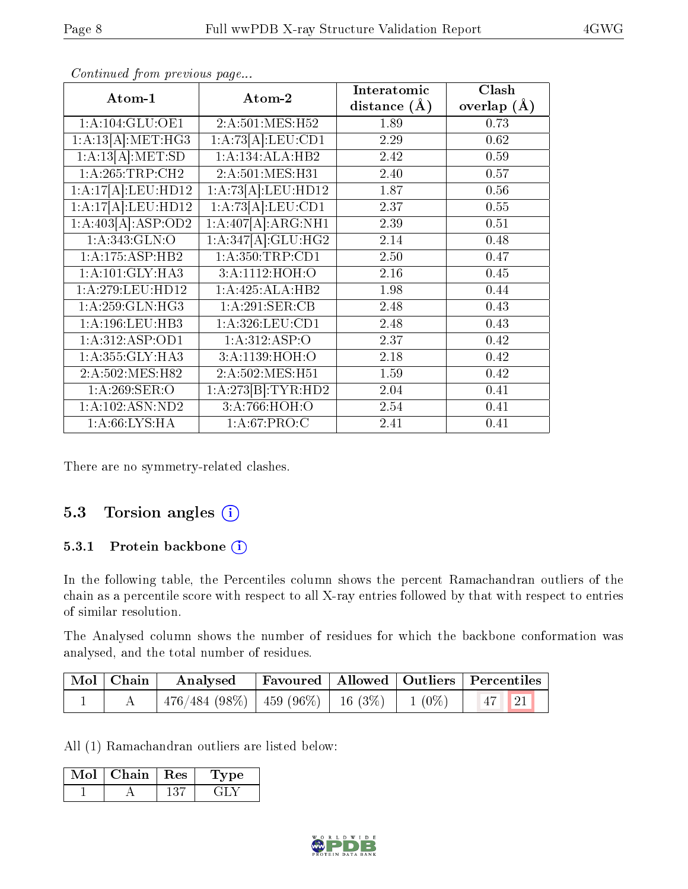|                     |                    | Interatomic      | Clash         |
|---------------------|--------------------|------------------|---------------|
| Atom-1              | Atom-2             | distance $(\AA)$ | overlap $(A)$ |
| 1: A: 104: GLU: OE1 | 2:A:501:MES:H52    | 1.89             | 0.73          |
| 1:A:13[A]:MET:HG3   | 1:A:73[A]:LEU:CD1  | 2.29             | 0.62          |
| 1:A:13[A]:MET:SD    | 1:A:134:ALA:HB2    | 2.42             | 0.59          |
| 1: A:265:TRP:CH2    | 2:A:501:MES:H31    | 2.40             | 0.57          |
| 1:A:17[A]:LEU:HD12  | 1:A:73[A]:LEU:HD12 | 1.87             | 0.56          |
| 1:A:17[A]:LEU:HD12  | 1:A:73[A].LEU:CD1  | 2.37             | $0.55\,$      |
| 1:A:403[A]:ASP:OD2  | 1:A:407[A]:ARG:NH1 | 2.39             | 0.51          |
| 1:A:343:GLN:O       | 1:A:347[A]:GLU:HG2 | 2.14             | 0.48          |
| 1:A:175:ASP:HB2     | 1:A:350:TRP:CD1    | 2.50             | 0.47          |
| 1: A: 101: GLY: HA3 | 3:A:1112:HOH:O     | 2.16             | 0.45          |
| 1:A:279:LEU:HD12    | 1:A:425:ALA:HB2    | 1.98             | 0.44          |
| 1: A:259: GLN: HG3  | 1:A:291:SER:CB     | 2.48             | 0.43          |
| 1: A: 196: LEU: HB3 | 1: A:326:LEU:CD1   | 2.48             | 0.43          |
| 1:A:312:ASP:OD1     | 1: A:312: ASP:O    | 2.37             | 0.42          |
| 1:A:355:GLY:HA3     | 3:A:1139:HOH:O     | 2.18             | 0.42          |
| 2:A:502:MES:H82     | 2:A:502:MES:H51    | 1.59             | 0.42          |
| 1: A:269: SER: O    | 1:A:273[B]:TYR:HD2 | 2.04             | 0.41          |
| 1: A: 102: ASN: ND2 | 3:A:766:HOH:O      | 2.54             | 0.41          |
| 1: A:66: LYS:HA     | 1: A:67: PRO:C     | 2.41             | 0.41          |

Continued from previous page...

There are no symmetry-related clashes.

### 5.3 Torsion angles (i)

#### 5.3.1 Protein backbone (i)

In the following table, the Percentiles column shows the percent Ramachandran outliers of the chain as a percentile score with respect to all X-ray entries followed by that with respect to entries of similar resolution.

The Analysed column shows the number of residues for which the backbone conformation was analysed, and the total number of residues.

| Mol   Chain | Analysed   Favoured   Allowed   Outliers   Percentiles |  |                                 |
|-------------|--------------------------------------------------------|--|---------------------------------|
|             | $476/484 (98\%)$   $459 (96\%)$   16 (3\%)   1 (0\%)   |  | $\vert 47 \vert \vert 21 \vert$ |

All (1) Ramachandran outliers are listed below:

| Mol | <b>Chain</b> | $\perp$ Res | vpe |
|-----|--------------|-------------|-----|
|     |              |             |     |

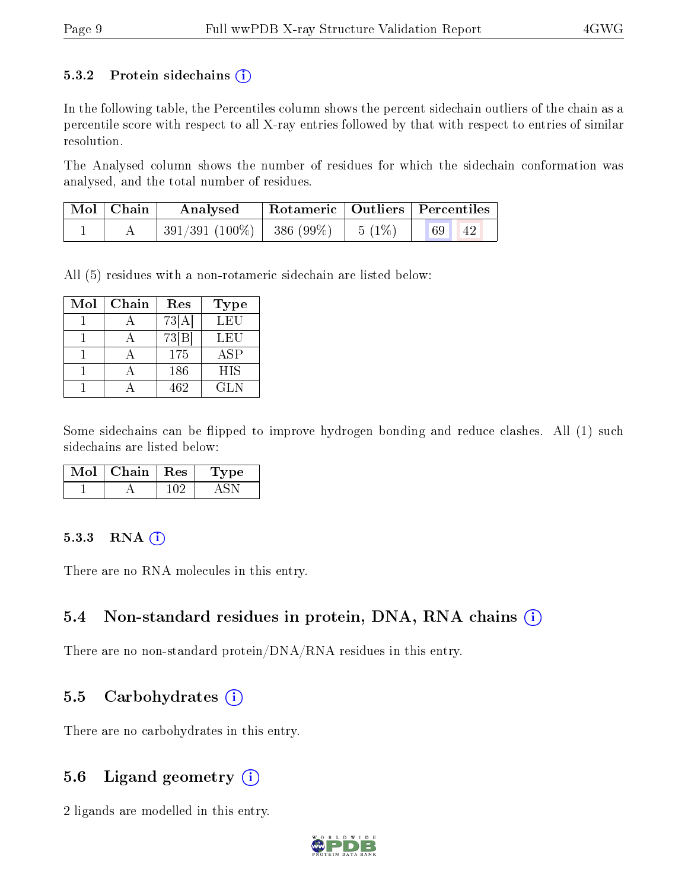#### 5.3.2 Protein sidechains  $(i)$

In the following table, the Percentiles column shows the percent sidechain outliers of the chain as a percentile score with respect to all X-ray entries followed by that with respect to entries of similar resolution.

The Analysed column shows the number of residues for which the sidechain conformation was analysed, and the total number of residues.

| Mol   Chain | $\perp$ Rotameric   Outliers   Percentiles<br>Analysed |  |          |
|-------------|--------------------------------------------------------|--|----------|
|             | $391/391 (100\%)$   386 (99\%)   5 (1\%)               |  | 69<br>42 |

All (5) residues with a non-rotameric sidechain are listed below:

| Mol | Chain | Res                | Type       |
|-----|-------|--------------------|------------|
|     |       | 73[A]              | LEU        |
|     |       | $73 \overline{B} $ | LEU        |
|     |       | 175                | <b>ASP</b> |
|     |       | 186                | <b>HIS</b> |
|     |       | 462                | GL N       |

Some sidechains can be flipped to improve hydrogen bonding and reduce clashes. All (1) such sidechains are listed below:

| Chain | $\mathbf{Res}$ | vpe |  |
|-------|----------------|-----|--|
|       |                |     |  |

#### $5.3.3$  RNA  $(i)$

There are no RNA molecules in this entry.

### 5.4 Non-standard residues in protein, DNA, RNA chains (i)

There are no non-standard protein/DNA/RNA residues in this entry.

### 5.5 Carbohydrates  $(i)$

There are no carbohydrates in this entry.

### 5.6 Ligand geometry  $(i)$

2 ligands are modelled in this entry.

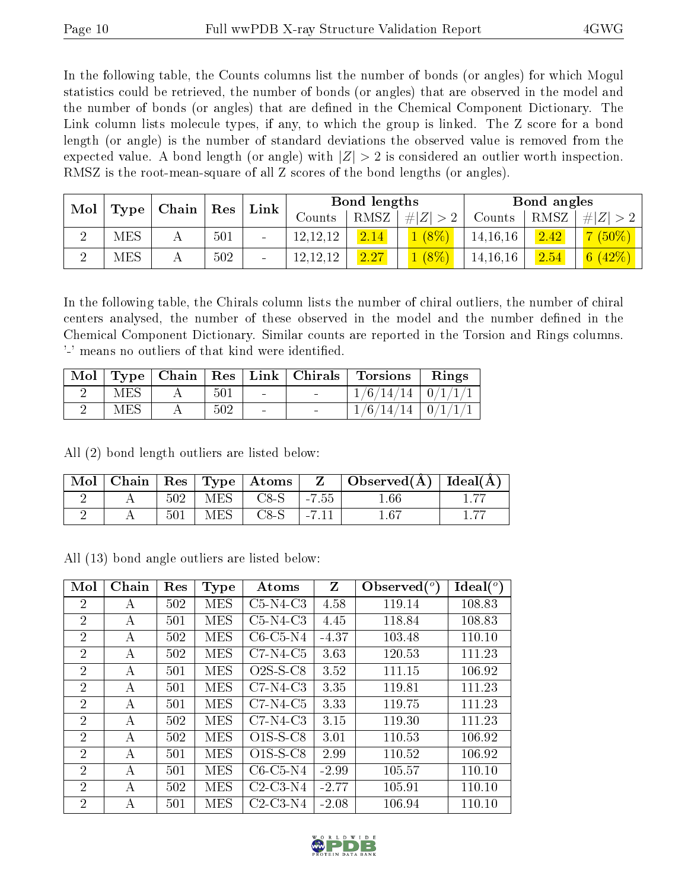In the following table, the Counts columns list the number of bonds (or angles) for which Mogul statistics could be retrieved, the number of bonds (or angles) that are observed in the model and the number of bonds (or angles) that are dened in the Chemical Component Dictionary. The Link column lists molecule types, if any, to which the group is linked. The Z score for a bond length (or angle) is the number of standard deviations the observed value is removed from the expected value. A bond length (or angle) with  $|Z| > 2$  is considered an outlier worth inspection. RMSZ is the root-mean-square of all Z scores of the bond lengths (or angles).

| Mol |               | , Chain∣ | Res | Link                     |            | Bond lengths |              |            | Bond angles |           |
|-----|---------------|----------|-----|--------------------------|------------|--------------|--------------|------------|-------------|-----------|
|     | Type          |          |     |                          | Counts     | RMSZ         | $\# Z $      | Counts     | RMSZ        | Z <br>#!  |
|     | <b>MES</b>    |          | 501 |                          | 12, 12, 12 | 2.14         | $1(8\%$      | 14, 16, 16 | 2.42        | $(50\%)$  |
|     | $_{\rm{MES}}$ |          | 502 | $\overline{\phantom{a}}$ | 12, 12, 12 | 2.27         | $\sqrt{8\%}$ | 14, 16, 16 | 2.54        | 6 $(42%)$ |

In the following table, the Chirals column lists the number of chiral outliers, the number of chiral centers analysed, the number of these observed in the model and the number defined in the Chemical Component Dictionary. Similar counts are reported in the Torsion and Rings columns. '-' means no outliers of that kind were identified.

| Mol | $\Gamma$ ype |     |                                   | Chain   Res   Link   Chirals | Torsions                | Rings |
|-----|--------------|-----|-----------------------------------|------------------------------|-------------------------|-------|
|     | MES          | 501 | <b>Contract Contract Contract</b> |                              | $/6/14/14$   0/1/1/1    |       |
|     | <b>MES</b>   | 502 | $\overline{\phantom{a}}$          | $\sim$                       | $1/6/14/14$   $0/1/1/1$ |       |

All (2) bond length outliers are listed below:

| Mol |     |     | $\pm$ Chain   Res   Type   Atoms $^+$ |         | Observed( $\AA$ )   Ideal( $\AA$ ) |  |
|-----|-----|-----|---------------------------------------|---------|------------------------------------|--|
|     | 502 | MES | $C8-S$                                | $-7.55$ | $1.66\,$                           |  |
|     | 501 | MES | $C8-S$                                |         | 1.67                               |  |

All (13) bond angle outliers are listed below:

| Mol            | Chain | Res | Type       | Atoms      | Z       | Observed $\binom{o}{c}$ | $Ideal(^o)$ |
|----------------|-------|-----|------------|------------|---------|-------------------------|-------------|
| $\overline{2}$ | А     | 502 | <b>MES</b> | $C5-N4-C3$ | 4.58    | 119.14                  | 108.83      |
| $\overline{2}$ | A     | 501 | <b>MES</b> | $C5-N4-C3$ | 4.45    | 118.84                  | 108.83      |
| $\overline{2}$ | А     | 502 | <b>MES</b> | $C6-C5-N4$ | $-4.37$ | 103.48                  | 110.10      |
| $\overline{2}$ | А     | 502 | <b>MES</b> | $C7-N4-C5$ | 3.63    | 120.53                  | 111.23      |
| $\overline{2}$ | A     | 501 | <b>MES</b> | $O2S-S-C8$ | 3.52    | 111.15                  | 106.92      |
| $\overline{2}$ | А     | 501 | MES        | $C7-N4-C3$ | 3.35    | 119.81                  | 111.23      |
| $\overline{2}$ | A     | 501 | <b>MES</b> | $C7-N4-C5$ | 3.33    | 119.75                  | 111.23      |
| $\overline{2}$ | A     | 502 | <b>MES</b> | $C7-N4-C3$ | 3.15    | 119.30                  | 111.23      |
| $\overline{2}$ | А     | 502 | MES        | $O1S-S-C8$ | 3.01    | 110.53                  | 106.92      |
| 2              | А     | 501 | <b>MES</b> | $O1S-S-C8$ | 2.99    | 110.52                  | 106.92      |
| 2              | А     | 501 | <b>MES</b> | $C6-C5-N4$ | $-2.99$ | 105.57                  | 110.10      |
| $\overline{2}$ | А     | 502 | MES        | $C2-C3-N4$ | $-2.77$ | 105.91                  | 110.10      |
| 2              | А     | 501 | MES        | $C2-C3-N4$ | $-2.08$ | 106.94                  | 110.10      |

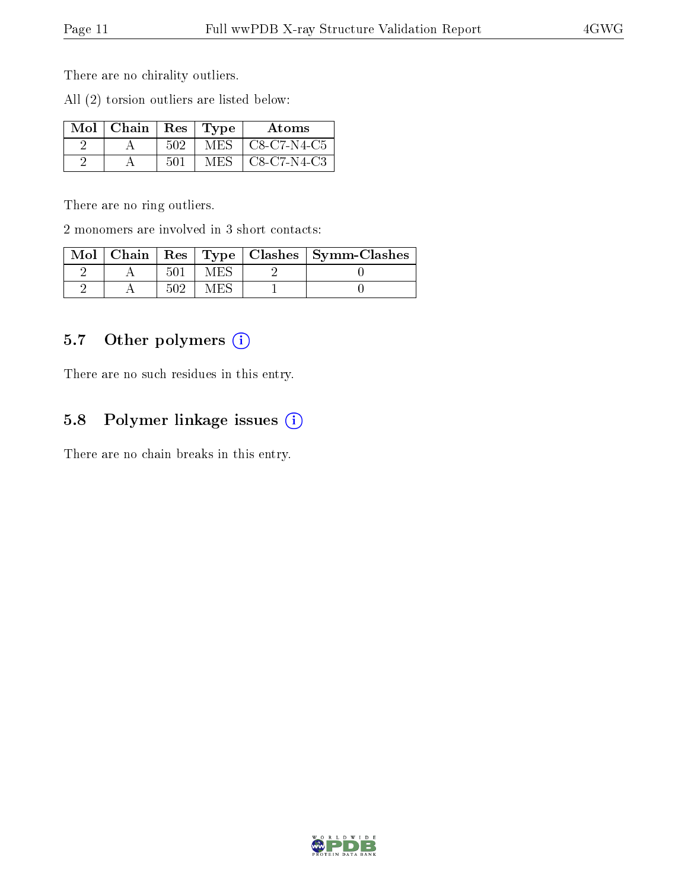There are no chirality outliers.

All (2) torsion outliers are listed below:

| $Mol$   Chain   Res   Type |     |     | Atoms       |
|----------------------------|-----|-----|-------------|
|                            | 502 | MES | C8-C7-N4-C5 |
|                            | 501 | MES | C8-C7-N4-C3 |

There are no ring outliers.

2 monomers are involved in 3 short contacts:

| $\bf{Mol}$ $\parallel$ |  |  | Chain   Res   Type   Clashes   Symm-Clashes |
|------------------------|--|--|---------------------------------------------|
|                        |  |  |                                             |
|                        |  |  |                                             |

### 5.7 [O](https://www.wwpdb.org/validation/2017/XrayValidationReportHelp#nonstandard_residues_and_ligands)ther polymers (i)

There are no such residues in this entry.

### 5.8 Polymer linkage issues  $(i)$

There are no chain breaks in this entry.

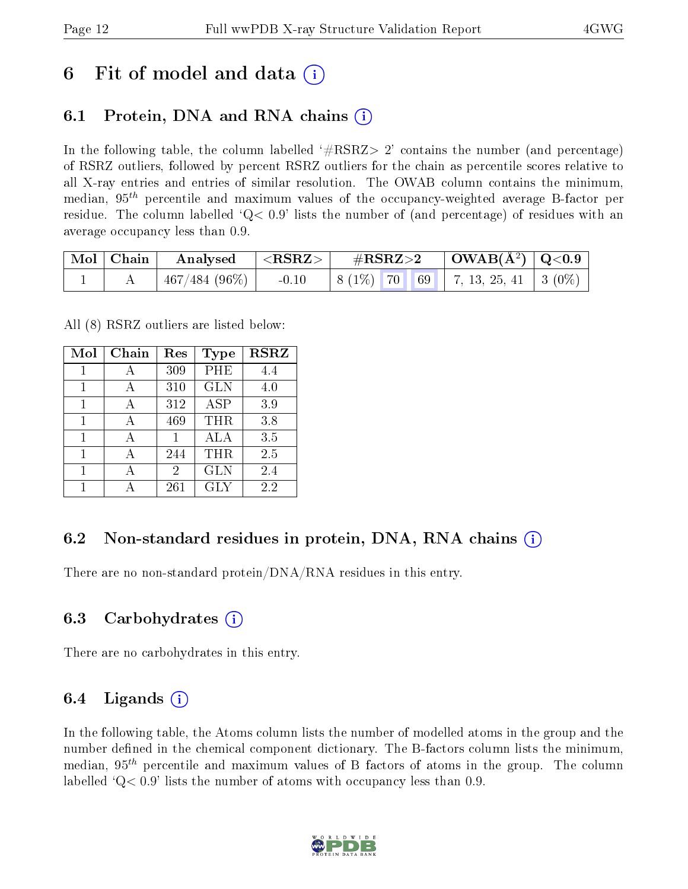## 6 Fit of model and data  $\left( \cdot \right)$

### 6.1 Protein, DNA and RNA chains (i)

In the following table, the column labelled  $#RSRZ>2'$  contains the number (and percentage) of RSRZ outliers, followed by percent RSRZ outliers for the chain as percentile scores relative to all X-ray entries and entries of similar resolution. The OWAB column contains the minimum, median,  $95<sup>th</sup>$  percentile and maximum values of the occupancy-weighted average B-factor per residue. The column labelled  $Q < 0.9$  lists the number of (and percentage) of residues with an average occupancy less than 0.9.

| $\mid$ Mol $\mid$ Chain $\mid$ | Analysed      | $  <$ RSRZ $>$ | $\#\mathrm{RSRZ}{>}2$ |  | $\mid$ OWAB(Å <sup>2</sup> ) $\mid$ Q<0.9 |                                          |  |
|--------------------------------|---------------|----------------|-----------------------|--|-------------------------------------------|------------------------------------------|--|
|                                | 467/484 (96%) | $-0.10$        |                       |  |                                           | $\mid 8(1\%)$ 70 69 7, 13, 25, 41 3 (0%) |  |

All (8) RSRZ outliers are listed below:

| Mol | Chain | Res | Type       | <b>RSRZ</b> |
|-----|-------|-----|------------|-------------|
| 1   | А     | 309 | PHE        | 4.4         |
| 1   |       | 310 | <b>GLN</b> | 4.0         |
| 1   |       | 312 | ASP        | 3.9         |
| 1   |       | 469 | THR        | 3.8         |
| 1   |       |     | ALA        | 3.5         |
| 1   |       | 244 | THR        | 2.5         |
|     |       | 2   | <b>GLN</b> | 2.4         |
|     |       | 261 | <b>GLY</b> | 2.2         |

### 6.2 Non-standard residues in protein, DNA, RNA chains  $(i)$

There are no non-standard protein/DNA/RNA residues in this entry.

### 6.3 Carbohydrates (i)

There are no carbohydrates in this entry.

### 6.4 Ligands  $(i)$

In the following table, the Atoms column lists the number of modelled atoms in the group and the number defined in the chemical component dictionary. The B-factors column lists the minimum, median,  $95<sup>th</sup>$  percentile and maximum values of B factors of atoms in the group. The column labelled  $Q< 0.9$ ' lists the number of atoms with occupancy less than 0.9.